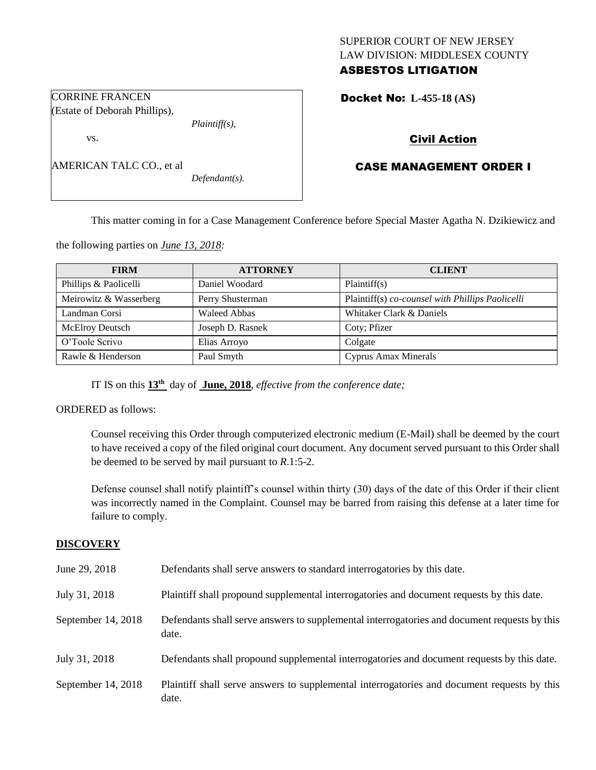# SUPERIOR COURT OF NEW JERSEY LAW DIVISION: MIDDLESEX COUNTY ASBESTOS LITIGATION

Docket No: **L-455-18 (AS)** 

# Civil Action

# CASE MANAGEMENT ORDER I

AMERICAN TALC CO., et al

*Defendant(s).*

*Plaintiff(s),*

This matter coming in for a Case Management Conference before Special Master Agatha N. Dzikiewicz and

the following parties on *June 13, 2018:*

| <b>FIRM</b>            | <b>ATTORNEY</b>     | <b>CLIENT</b>                                    |
|------------------------|---------------------|--------------------------------------------------|
| Phillips & Paolicelli  | Daniel Woodard      | Plaintiff(s)                                     |
| Meirowitz & Wasserberg | Perry Shusterman    | Plaintiff(s) co-counsel with Phillips Paolicelli |
| Landman Corsi          | <b>Waleed Abbas</b> | Whitaker Clark & Daniels                         |
| <b>McElroy Deutsch</b> | Joseph D. Rasnek    | Coty; Pfizer                                     |
| O'Toole Scrivo         | Elias Arroyo        | Colgate                                          |
| Rawle & Henderson      | Paul Smyth          | Cyprus Amax Minerals                             |

IT IS on this **13th** day of **June, 2018**, *effective from the conference date;*

ORDERED as follows:

CORRINE FRANCEN (Estate of Deborah Phillips),

vs.

Counsel receiving this Order through computerized electronic medium (E-Mail) shall be deemed by the court to have received a copy of the filed original court document. Any document served pursuant to this Order shall be deemed to be served by mail pursuant to *R*.1:5-2.

Defense counsel shall notify plaintiff's counsel within thirty (30) days of the date of this Order if their client was incorrectly named in the Complaint. Counsel may be barred from raising this defense at a later time for failure to comply.

#### **DISCOVERY**

| June 29, 2018      | Defendants shall serve answers to standard interrogatories by this date.                              |
|--------------------|-------------------------------------------------------------------------------------------------------|
| July 31, 2018      | Plaintiff shall propound supplemental interrogatories and document requests by this date.             |
| September 14, 2018 | Defendants shall serve answers to supplemental interrogatories and document requests by this<br>date. |
| July 31, 2018      | Defendants shall propound supplemental interrogatories and document requests by this date.            |
| September 14, 2018 | Plaintiff shall serve answers to supplemental interrogatories and document requests by this<br>date.  |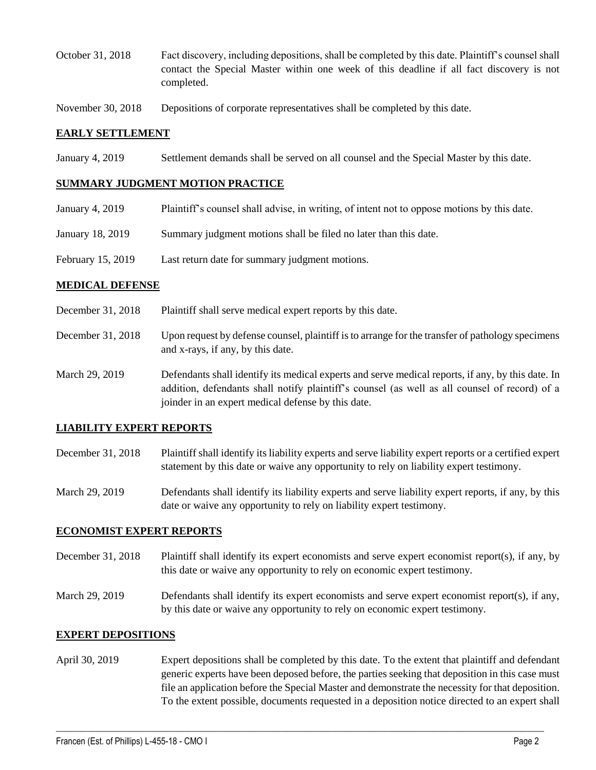- October 31, 2018 Fact discovery, including depositions, shall be completed by this date. Plaintiff's counsel shall contact the Special Master within one week of this deadline if all fact discovery is not completed.
- November 30, 2018 Depositions of corporate representatives shall be completed by this date.

## **EARLY SETTLEMENT**

January 4, 2019 Settlement demands shall be served on all counsel and the Special Master by this date.

### **SUMMARY JUDGMENT MOTION PRACTICE**

- January 4, 2019 Plaintiff's counsel shall advise, in writing, of intent not to oppose motions by this date.
- January 18, 2019 Summary judgment motions shall be filed no later than this date.
- February 15, 2019 Last return date for summary judgment motions.

## **MEDICAL DEFENSE**

- December 31, 2018 Plaintiff shall serve medical expert reports by this date.
- December 31, 2018 Upon request by defense counsel, plaintiff is to arrange for the transfer of pathology specimens and x-rays, if any, by this date.
- March 29, 2019 Defendants shall identify its medical experts and serve medical reports, if any, by this date. In addition, defendants shall notify plaintiff's counsel (as well as all counsel of record) of a joinder in an expert medical defense by this date.

# **LIABILITY EXPERT REPORTS**

- December 31, 2018 Plaintiff shall identify its liability experts and serve liability expert reports or a certified expert statement by this date or waive any opportunity to rely on liability expert testimony.
- March 29, 2019 Defendants shall identify its liability experts and serve liability expert reports, if any, by this date or waive any opportunity to rely on liability expert testimony.

#### **ECONOMIST EXPERT REPORTS**

- December 31, 2018 Plaintiff shall identify its expert economists and serve expert economist report(s), if any, by this date or waive any opportunity to rely on economic expert testimony.
- March 29, 2019 Defendants shall identify its expert economists and serve expert economist report(s), if any, by this date or waive any opportunity to rely on economic expert testimony.

#### **EXPERT DEPOSITIONS**

April 30, 2019 Expert depositions shall be completed by this date. To the extent that plaintiff and defendant generic experts have been deposed before, the parties seeking that deposition in this case must file an application before the Special Master and demonstrate the necessity for that deposition. To the extent possible, documents requested in a deposition notice directed to an expert shall

 $\_$  ,  $\_$  ,  $\_$  ,  $\_$  ,  $\_$  ,  $\_$  ,  $\_$  ,  $\_$  ,  $\_$  ,  $\_$  ,  $\_$  ,  $\_$  ,  $\_$  ,  $\_$  ,  $\_$  ,  $\_$  ,  $\_$  ,  $\_$  ,  $\_$  ,  $\_$  ,  $\_$  ,  $\_$  ,  $\_$  ,  $\_$  ,  $\_$  ,  $\_$  ,  $\_$  ,  $\_$  ,  $\_$  ,  $\_$  ,  $\_$  ,  $\_$  ,  $\_$  ,  $\_$  ,  $\_$  ,  $\_$  ,  $\_$  ,